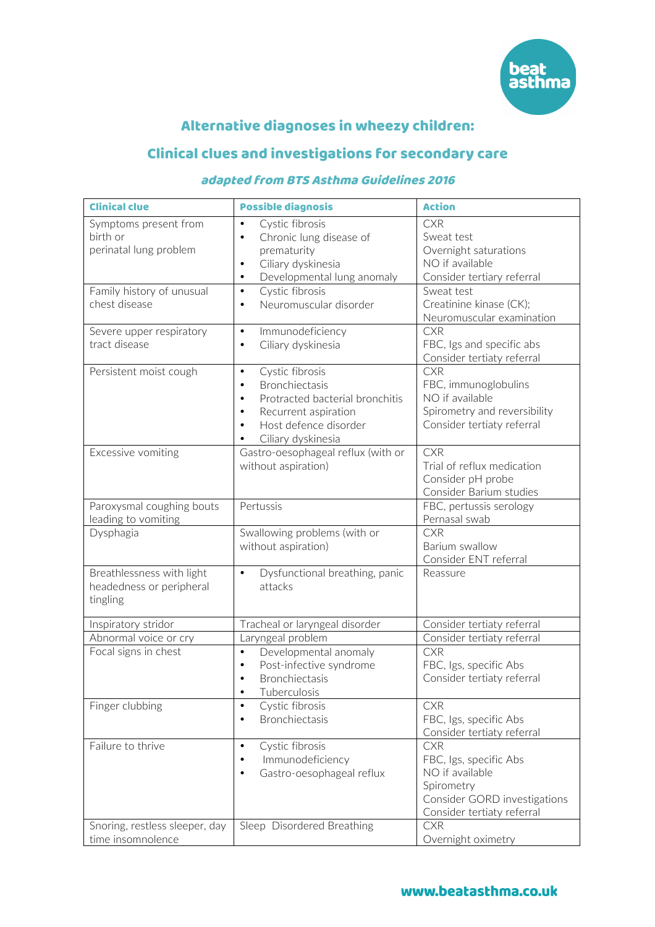

# Alternative diagnoses in wheezy children:

# Clinical clues and investigations for secondary care

## adapted from BTS Asthma Guidelines 2016

| <b>Clinical clue</b>                                              | <b>Possible diagnosis</b>                                                                                                                                                                                                 | <b>Action</b>                                                                                                                       |
|-------------------------------------------------------------------|---------------------------------------------------------------------------------------------------------------------------------------------------------------------------------------------------------------------------|-------------------------------------------------------------------------------------------------------------------------------------|
| Symptoms present from<br>birth or<br>perinatal lung problem       | Cystic fibrosis<br>$\bullet$<br>Chronic lung disease of<br>$\bullet$<br>prematurity<br>Ciliary dyskinesia<br>$\bullet$<br>Developmental lung anomaly<br>$\bullet$                                                         | <b>CXR</b><br>Sweat test<br>Overnight saturations<br>NO if available<br>Consider tertiary referral                                  |
| Family history of unusual<br>chest disease                        | Cystic fibrosis<br>$\bullet$<br>Neuromuscular disorder<br>$\bullet$                                                                                                                                                       | Sweat test<br>Creatinine kinase (CK);<br>Neuromuscular examination                                                                  |
| Severe upper respiratory<br>tract disease                         | Immunodeficiency<br>$\bullet$<br>Ciliary dyskinesia<br>$\bullet$                                                                                                                                                          | <b>CXR</b><br>FBC, Igs and specific abs<br>Consider tertiaty referral                                                               |
| Persistent moist cough                                            | Cystic fibrosis<br>$\bullet$<br>Bronchiectasis<br>$\bullet$<br>Protracted bacterial bronchitis<br>$\bullet$<br>Recurrent aspiration<br>$\bullet$<br>Host defence disorder<br>$\bullet$<br>Ciliary dyskinesia<br>$\bullet$ | <b>CXR</b><br>FBC, immunoglobulins<br>NO if available<br>Spirometry and reversibility<br>Consider tertiaty referral                 |
| Excessive vomiting                                                | Gastro-oesophageal reflux (with or<br>without aspiration)                                                                                                                                                                 | <b>CXR</b><br>Trial of reflux medication<br>Consider pH probe<br>Consider Barium studies                                            |
| Paroxysmal coughing bouts<br>leading to vomiting                  | Pertussis                                                                                                                                                                                                                 | FBC, pertussis serology<br>Pernasal swab                                                                                            |
| Dysphagia                                                         | Swallowing problems (with or<br>without aspiration)                                                                                                                                                                       | <b>CXR</b><br>Barium swallow<br>Consider ENT referral                                                                               |
| Breathlessness with light<br>headedness or peripheral<br>tingling | Dysfunctional breathing, panic<br>$\bullet$<br>attacks                                                                                                                                                                    | Reassure                                                                                                                            |
| Inspiratory stridor                                               | Tracheal or laryngeal disorder                                                                                                                                                                                            | Consider tertiaty referral                                                                                                          |
| Abnormal voice or cry                                             | Laryngeal problem                                                                                                                                                                                                         | Consider tertiaty referral                                                                                                          |
| Focal signs in chest                                              | Developmental anomaly<br>$\bullet$<br>Post-infective syndrome<br>$\bullet$<br><b>Bronchiectasis</b><br>$\bullet$<br>Tuberculosis                                                                                          | <b>CXR</b><br>FBC, Igs, specific Abs<br>Consider tertiaty referral                                                                  |
| Finger clubbing                                                   | Cystic fibrosis<br>$\bullet$<br>Bronchiectasis<br>$\bullet$                                                                                                                                                               | <b>CXR</b><br>FBC, Igs, specific Abs<br>Consider tertiaty referral                                                                  |
| Failure to thrive                                                 | Cystic fibrosis<br>$\bullet$<br>Immunodeficiency<br>$\bullet$<br>Gastro-oesophageal reflux<br>$\bullet$                                                                                                                   | <b>CXR</b><br>FBC, Igs, specific Abs<br>NO if available<br>Spirometry<br>Consider GORD investigations<br>Consider tertiaty referral |
| Snoring, restless sleeper, day<br>time insomnolence               | Sleep Disordered Breathing                                                                                                                                                                                                | <b>CXR</b><br>Overnight oximetry                                                                                                    |